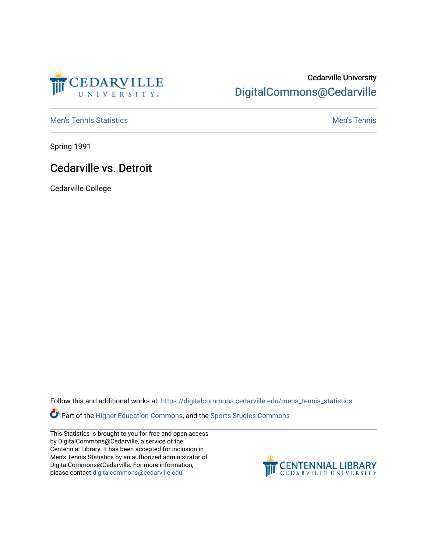

## Cedarville University [DigitalCommons@Cedarville](https://digitalcommons.cedarville.edu/)

**[Men's Tennis Statistics](https://digitalcommons.cedarville.edu/mens_tennis_statistics) Mental According to the Control of Control According Mental Men's Tennis** 

Spring 1991

## Cedarville vs. Detroit

Cedarville College

Follow this and additional works at: [https://digitalcommons.cedarville.edu/mens\\_tennis\\_statistics](https://digitalcommons.cedarville.edu/mens_tennis_statistics?utm_source=digitalcommons.cedarville.edu%2Fmens_tennis_statistics%2F268&utm_medium=PDF&utm_campaign=PDFCoverPages)

Part of the [Higher Education Commons,](http://network.bepress.com/hgg/discipline/1245?utm_source=digitalcommons.cedarville.edu%2Fmens_tennis_statistics%2F268&utm_medium=PDF&utm_campaign=PDFCoverPages) and the [Sports Studies Commons](http://network.bepress.com/hgg/discipline/1198?utm_source=digitalcommons.cedarville.edu%2Fmens_tennis_statistics%2F268&utm_medium=PDF&utm_campaign=PDFCoverPages) 

This Statistics is brought to you for free and open access by DigitalCommons@Cedarville, a service of the Centennial Library. It has been accepted for inclusion in Men's Tennis Statistics by an authorized administrator of DigitalCommons@Cedarville. For more information, please contact [digitalcommons@cedarville.edu](mailto:digitalcommons@cedarville.edu).